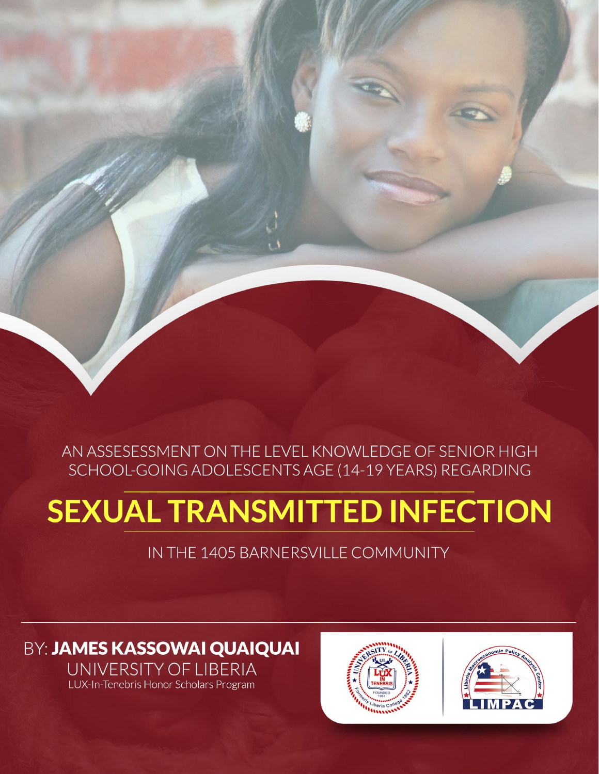## AN ASSESESSMENT ON THE LEVEL KNOWLEDGE OF SENIOR HIGH **SCHOOL-GOING ADOLESCENTS AGE (14-19 YEARS) REGARDING**

**AN ASSESSMENT ON THE LEVEL KNOWLEDGE OF SENIOR HIGH SCHOOL-**

**GOING ADOLESCENTS AGE (14-19 YEARS) REGARDING SEXUAL TRANSMITTED** 

**INFECTION IN THE 1405 BARNERS OF LEADERS** 

# **SEXUAL TRANSMITTED INFECTION**

## IN THE 1405 BARNERSVILLE COMMUNITY

## **BY: JAMES KASSOWAI QUAIQUAI UNIVERSITY OF LIBERIA**<br>LUX-In-Tenebris Honor Scholars Program



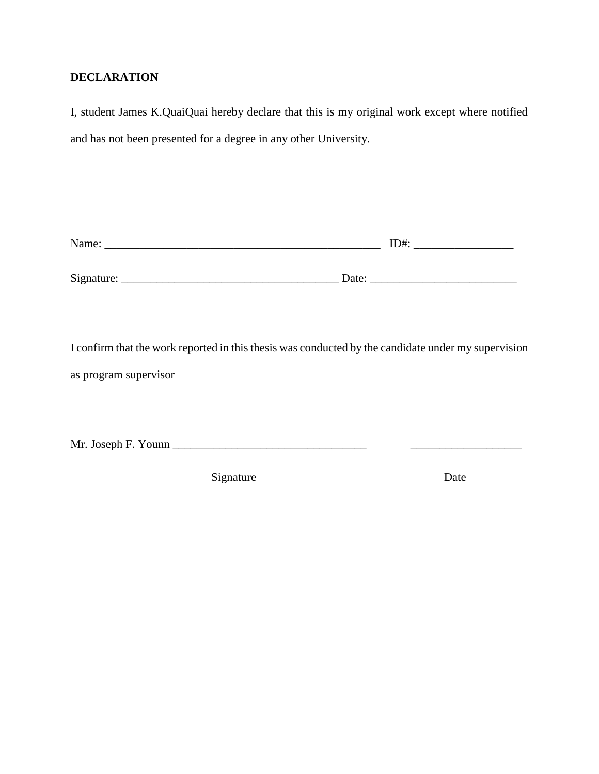#### **DECLARATION**

I, student James K.QuaiQuai hereby declare that this is my original work except where notified and has not been presented for a degree in any other University.

| Name:      |       | ID#: |
|------------|-------|------|
|            |       |      |
| Signature: | Date: |      |

I confirm that the work reported in this thesis was conducted by the candidate under my supervision as program supervisor

Mr. Joseph F. Younn \_\_\_\_\_\_\_\_\_\_\_\_\_\_\_\_\_\_\_\_\_\_\_\_\_\_\_\_\_\_\_\_\_ \_\_\_\_\_\_\_\_\_\_\_\_\_\_\_\_\_\_\_

Signature Date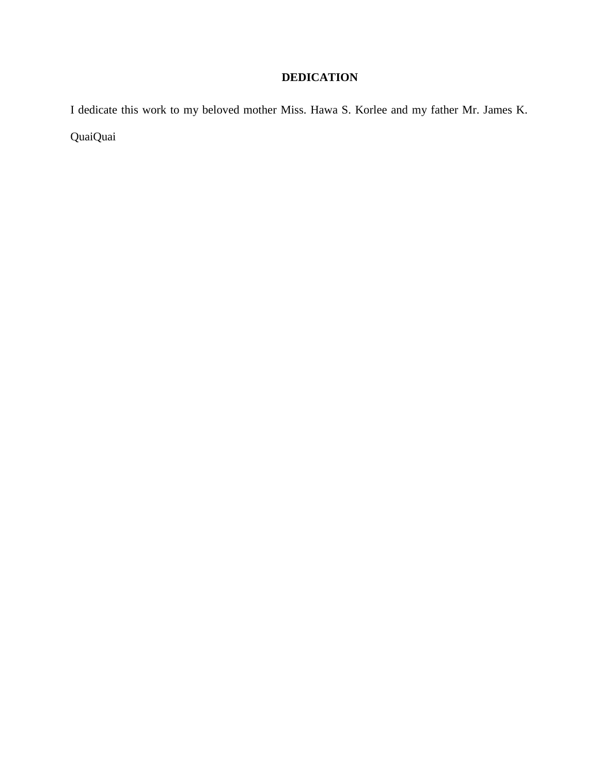## **DEDICATION**

I dedicate this work to my beloved mother Miss. Hawa S. Korlee and my father Mr. James K. QuaiQuai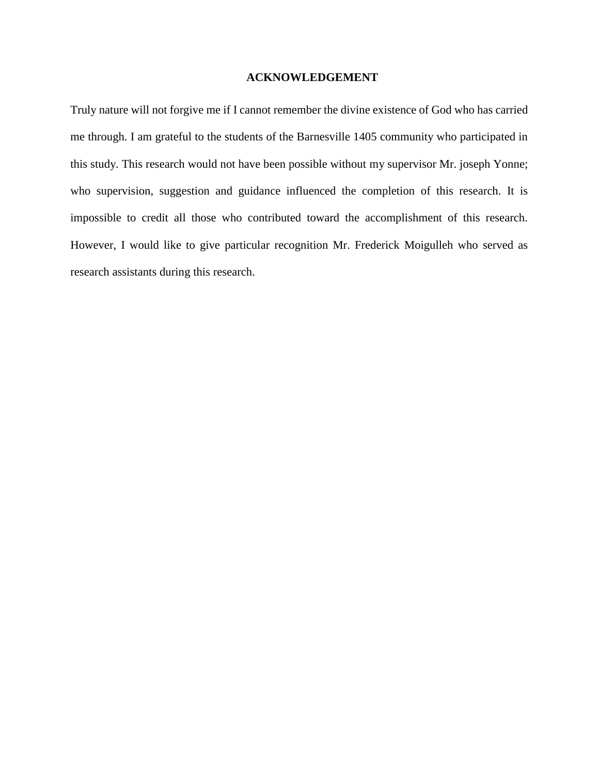#### **ACKNOWLEDGEMENT**

Truly nature will not forgive me if I cannot remember the divine existence of God who has carried me through. I am grateful to the students of the Barnesville 1405 community who participated in this study. This research would not have been possible without my supervisor Mr. joseph Yonne; who supervision, suggestion and guidance influenced the completion of this research. It is impossible to credit all those who contributed toward the accomplishment of this research. However, I would like to give particular recognition Mr. Frederick Moigulleh who served as research assistants during this research.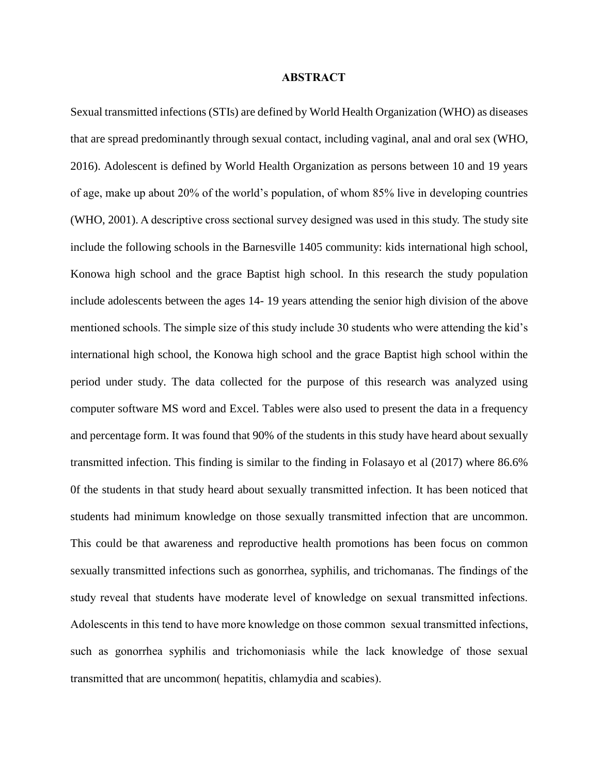#### **ABSTRACT**

Sexual transmitted infections (STIs) are defined by World Health Organization (WHO) as diseases that are spread predominantly through sexual contact, including vaginal, anal and oral sex (WHO, 2016). Adolescent is defined by World Health Organization as persons between 10 and 19 years of age, make up about 20% of the world's population, of whom 85% live in developing countries (WHO, 2001). A descriptive cross sectional survey designed was used in this study. The study site include the following schools in the Barnesville 1405 community: kids international high school, Konowa high school and the grace Baptist high school. In this research the study population include adolescents between the ages 14- 19 years attending the senior high division of the above mentioned schools. The simple size of this study include 30 students who were attending the kid's international high school, the Konowa high school and the grace Baptist high school within the period under study. The data collected for the purpose of this research was analyzed using computer software MS word and Excel. Tables were also used to present the data in a frequency and percentage form. It was found that 90% of the students in this study have heard about sexually transmitted infection. This finding is similar to the finding in Folasayo et al (2017) where 86.6% 0f the students in that study heard about sexually transmitted infection. It has been noticed that students had minimum knowledge on those sexually transmitted infection that are uncommon. This could be that awareness and reproductive health promotions has been focus on common sexually transmitted infections such as gonorrhea, syphilis, and trichomanas. The findings of the study reveal that students have moderate level of knowledge on sexual transmitted infections. Adolescents in this tend to have more knowledge on those common sexual transmitted infections, such as gonorrhea syphilis and trichomoniasis while the lack knowledge of those sexual transmitted that are uncommon( hepatitis, chlamydia and scabies).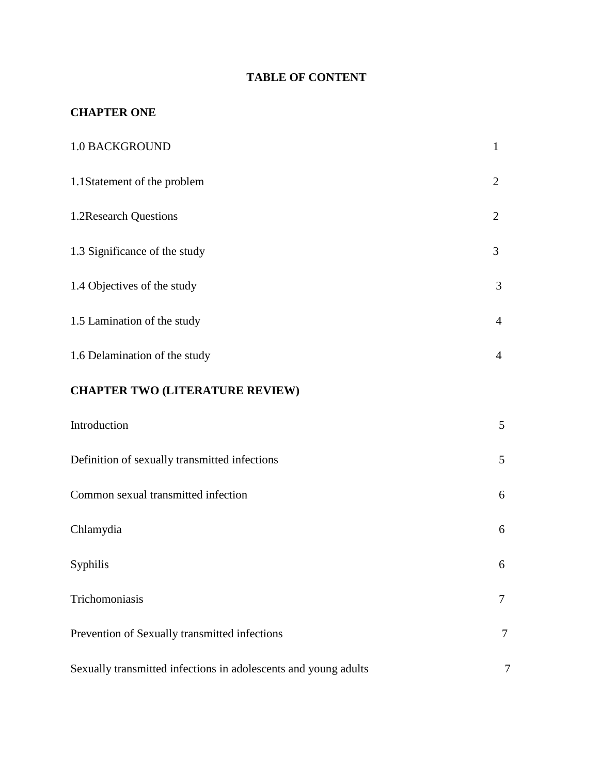### **TABLE OF CONTENT**

#### **CHAPTER ONE**

| <b>1.0 BACKGROUND</b>                                           | $\mathbf{1}$   |
|-----------------------------------------------------------------|----------------|
| 1.1Statement of the problem                                     | $\overline{2}$ |
| 1.2Research Questions                                           | $\overline{2}$ |
| 1.3 Significance of the study                                   | 3              |
| 1.4 Objectives of the study                                     | 3              |
| 1.5 Lamination of the study                                     | $\overline{4}$ |
| 1.6 Delamination of the study                                   | 4              |
| <b>CHAPTER TWO (LITERATURE REVIEW)</b>                          |                |
| Introduction                                                    | 5              |
| Definition of sexually transmitted infections                   | 5              |
| Common sexual transmitted infection                             | 6              |
| Chlamydia                                                       | 6              |
| Syphilis                                                        | 6              |
| Trichomoniasis                                                  | 7              |
| Prevention of Sexually transmitted infections                   | 7              |
| Sexually transmitted infections in adolescents and young adults | 7              |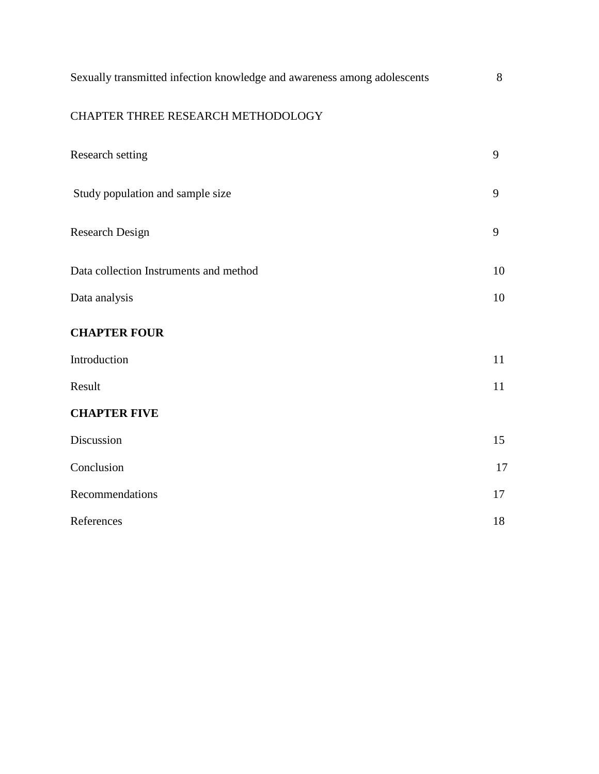## CHAPTER THREE RESEARCH METHODOLOGY

| Research setting                       | 9  |
|----------------------------------------|----|
| Study population and sample size       | 9  |
| <b>Research Design</b>                 | 9  |
| Data collection Instruments and method | 10 |
| Data analysis                          | 10 |
| <b>CHAPTER FOUR</b>                    |    |
| Introduction                           | 11 |
| Result                                 | 11 |
| <b>CHAPTER FIVE</b>                    |    |
| Discussion                             | 15 |
| Conclusion                             | 17 |
| Recommendations                        | 17 |
| References                             | 18 |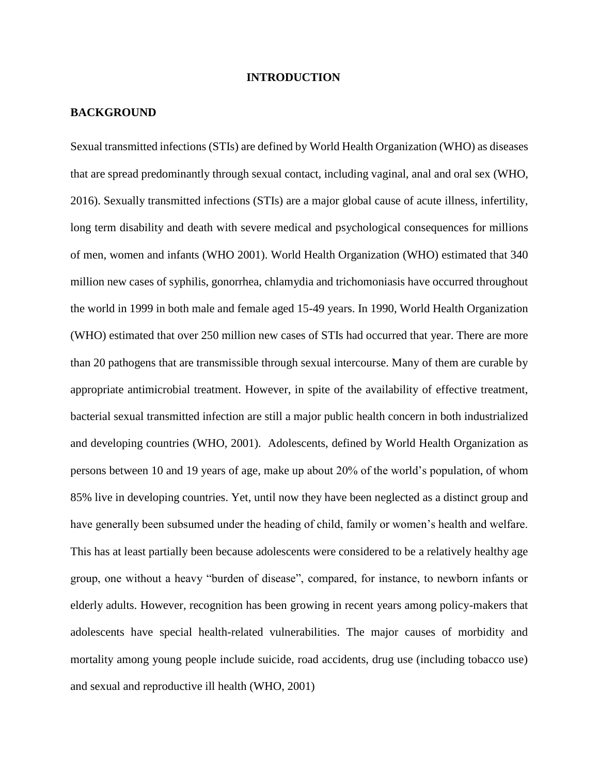#### **INTRODUCTION**

#### **BACKGROUND**

Sexual transmitted infections (STIs) are defined by World Health Organization (WHO) as diseases that are spread predominantly through sexual contact, including vaginal, anal and oral sex (WHO, 2016). Sexually transmitted infections (STIs) are a major global cause of acute illness, infertility, long term disability and death with severe medical and psychological consequences for millions of men, women and infants (WHO 2001). World Health Organization (WHO) estimated that 340 million new cases of syphilis, gonorrhea, chlamydia and trichomoniasis have occurred throughout the world in 1999 in both male and female aged 15-49 years. In 1990, World Health Organization (WHO) estimated that over 250 million new cases of STIs had occurred that year. There are more than 20 pathogens that are transmissible through sexual intercourse. Many of them are curable by appropriate antimicrobial treatment. However, in spite of the availability of effective treatment, bacterial sexual transmitted infection are still a major public health concern in both industrialized and developing countries (WHO, 2001). Adolescents, defined by World Health Organization as persons between 10 and 19 years of age, make up about 20% of the world's population, of whom 85% live in developing countries. Yet, until now they have been neglected as a distinct group and have generally been subsumed under the heading of child, family or women's health and welfare. This has at least partially been because adolescents were considered to be a relatively healthy age group, one without a heavy "burden of disease", compared, for instance, to newborn infants or elderly adults. However, recognition has been growing in recent years among policy-makers that adolescents have special health-related vulnerabilities. The major causes of morbidity and mortality among young people include suicide, road accidents, drug use (including tobacco use) and sexual and reproductive ill health (WHO, 2001)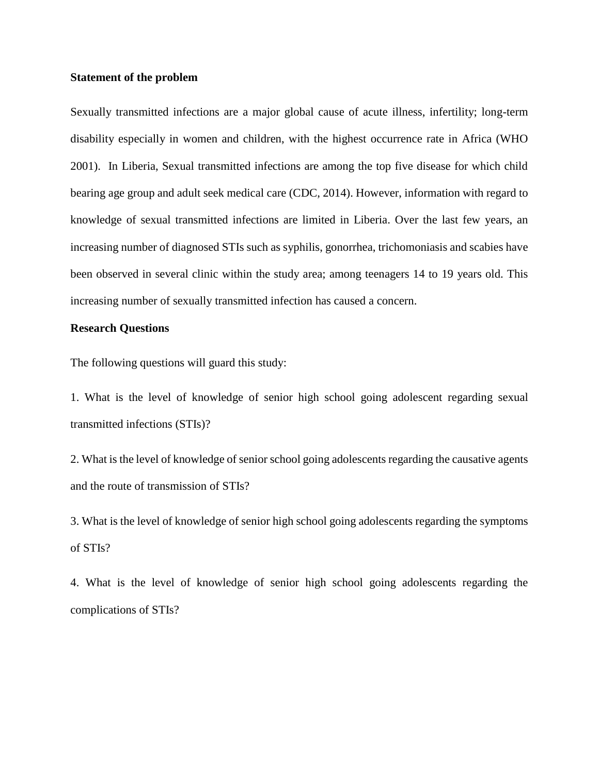#### **Statement of the problem**

Sexually transmitted infections are a major global cause of acute illness, infertility; long-term disability especially in women and children, with the highest occurrence rate in Africa (WHO 2001). In Liberia, Sexual transmitted infections are among the top five disease for which child bearing age group and adult seek medical care (CDC, 2014). However, information with regard to knowledge of sexual transmitted infections are limited in Liberia. Over the last few years, an increasing number of diagnosed STIs such as syphilis, gonorrhea, trichomoniasis and scabies have been observed in several clinic within the study area; among teenagers 14 to 19 years old. This increasing number of sexually transmitted infection has caused a concern.

#### **Research Questions**

The following questions will guard this study:

1. What is the level of knowledge of senior high school going adolescent regarding sexual transmitted infections (STIs)?

2. What is the level of knowledge of senior school going adolescents regarding the causative agents and the route of transmission of STIs?

3. What is the level of knowledge of senior high school going adolescents regarding the symptoms of STIs?

4. What is the level of knowledge of senior high school going adolescents regarding the complications of STIs?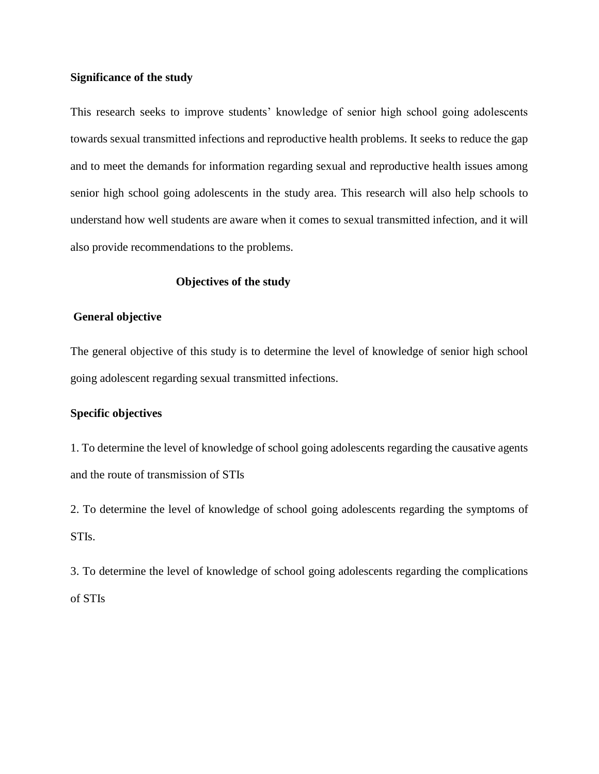#### **Significance of the study**

This research seeks to improve students' knowledge of senior high school going adolescents towards sexual transmitted infections and reproductive health problems. It seeks to reduce the gap and to meet the demands for information regarding sexual and reproductive health issues among senior high school going adolescents in the study area. This research will also help schools to understand how well students are aware when it comes to sexual transmitted infection, and it will also provide recommendations to the problems.

#### **Objectives of the study**

#### **General objective**

The general objective of this study is to determine the level of knowledge of senior high school going adolescent regarding sexual transmitted infections.

#### **Specific objectives**

1. To determine the level of knowledge of school going adolescents regarding the causative agents and the route of transmission of STIs

2. To determine the level of knowledge of school going adolescents regarding the symptoms of STIs.

3. To determine the level of knowledge of school going adolescents regarding the complications of STIs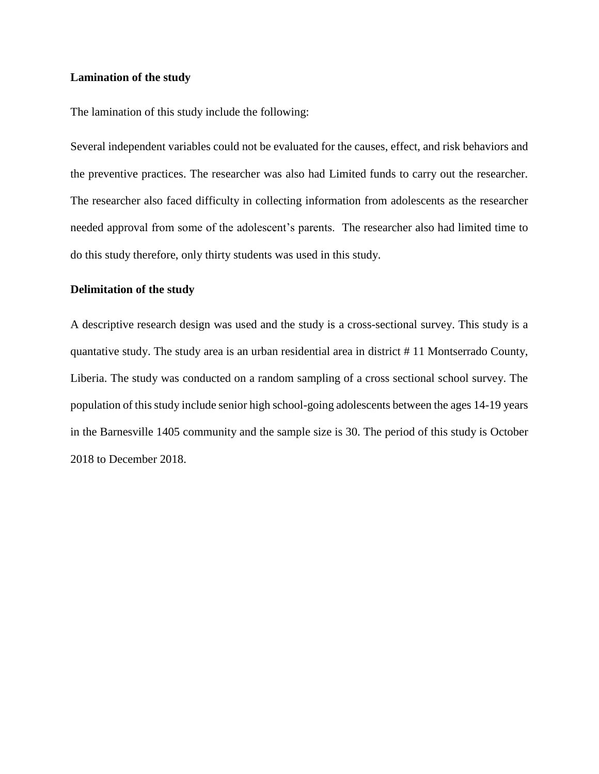#### **Lamination of the study**

The lamination of this study include the following:

Several independent variables could not be evaluated for the causes, effect, and risk behaviors and the preventive practices. The researcher was also had Limited funds to carry out the researcher. The researcher also faced difficulty in collecting information from adolescents as the researcher needed approval from some of the adolescent's parents. The researcher also had limited time to do this study therefore, only thirty students was used in this study.

#### **Delimitation of the study**

A descriptive research design was used and the study is a cross-sectional survey. This study is a quantative study. The study area is an urban residential area in district # 11 Montserrado County, Liberia. The study was conducted on a random sampling of a cross sectional school survey. The population of this study include senior high school-going adolescents between the ages 14-19 years in the Barnesville 1405 community and the sample size is 30. The period of this study is October 2018 to December 2018.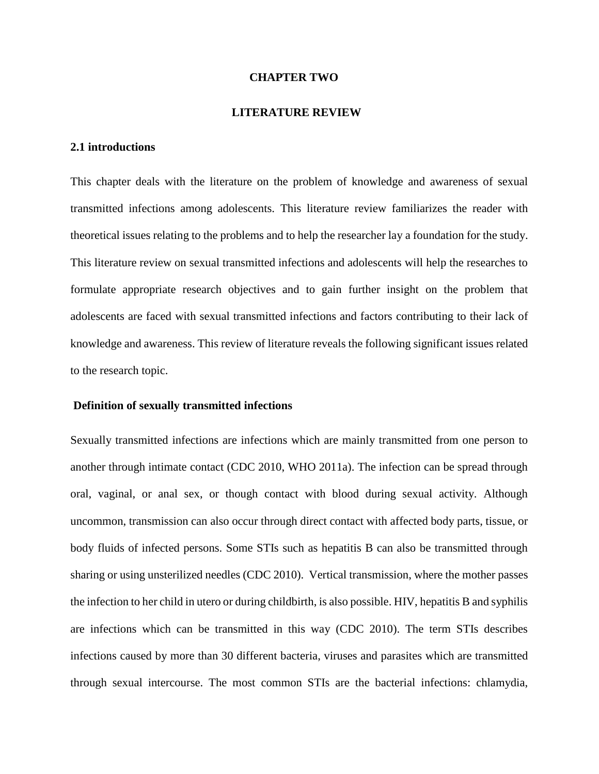#### **CHAPTER TWO**

#### **LITERATURE REVIEW**

#### **2.1 introductions**

This chapter deals with the literature on the problem of knowledge and awareness of sexual transmitted infections among adolescents. This literature review familiarizes the reader with theoretical issues relating to the problems and to help the researcher lay a foundation for the study. This literature review on sexual transmitted infections and adolescents will help the researches to formulate appropriate research objectives and to gain further insight on the problem that adolescents are faced with sexual transmitted infections and factors contributing to their lack of knowledge and awareness. This review of literature reveals the following significant issues related to the research topic.

#### **Definition of sexually transmitted infections**

Sexually transmitted infections are infections which are mainly transmitted from one person to another through intimate contact (CDC 2010, WHO 2011a). The infection can be spread through oral, vaginal, or anal sex, or though contact with blood during sexual activity. Although uncommon, transmission can also occur through direct contact with affected body parts, tissue, or body fluids of infected persons. Some STIs such as hepatitis B can also be transmitted through sharing or using unsterilized needles (CDC 2010). Vertical transmission, where the mother passes the infection to her child in utero or during childbirth, is also possible. HIV, hepatitis B and syphilis are infections which can be transmitted in this way (CDC 2010). The term STIs describes infections caused by more than 30 different bacteria, viruses and parasites which are transmitted through sexual intercourse. The most common STIs are the bacterial infections: chlamydia,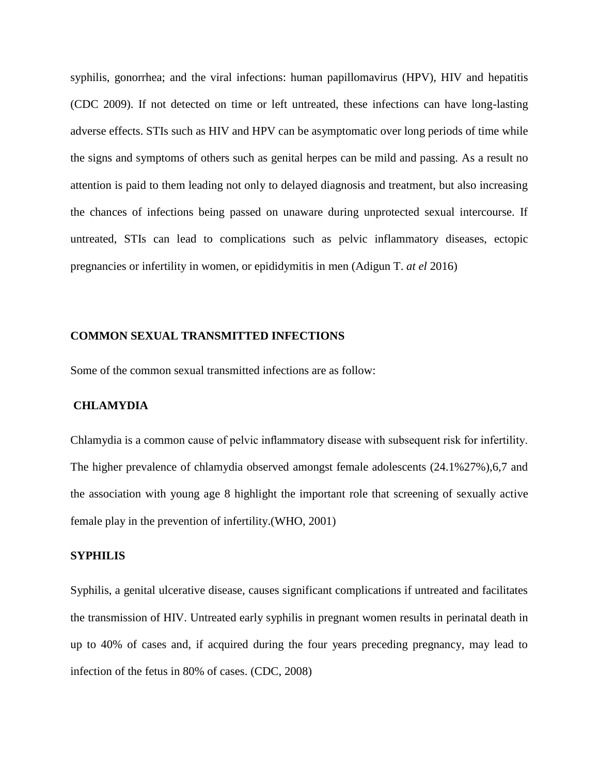syphilis, gonorrhea; and the viral infections: human papillomavirus (HPV), HIV and hepatitis (CDC 2009). If not detected on time or left untreated, these infections can have long-lasting adverse effects. STIs such as HIV and HPV can be asymptomatic over long periods of time while the signs and symptoms of others such as genital herpes can be mild and passing. As a result no attention is paid to them leading not only to delayed diagnosis and treatment, but also increasing the chances of infections being passed on unaware during unprotected sexual intercourse. If untreated, STIs can lead to complications such as pelvic inflammatory diseases, ectopic pregnancies or infertility in women, or epididymitis in men (Adigun T. *at el* 2016)

#### **COMMON SEXUAL TRANSMITTED INFECTIONS**

Some of the common sexual transmitted infections are as follow:

#### **CHLAMYDIA**

Chlamydia is a common cause of pelvic inflammatory disease with subsequent risk for infertility. The higher prevalence of chlamydia observed amongst female adolescents (24.1%27%),6,7 and the association with young age 8 highlight the important role that screening of sexually active female play in the prevention of infertility.(WHO, 2001)

#### **SYPHILIS**

Syphilis, a genital ulcerative disease, causes significant complications if untreated and facilitates the transmission of HIV. Untreated early syphilis in pregnant women results in perinatal death in up to 40% of cases and, if acquired during the four years preceding pregnancy, may lead to infection of the fetus in 80% of cases. (CDC, 2008)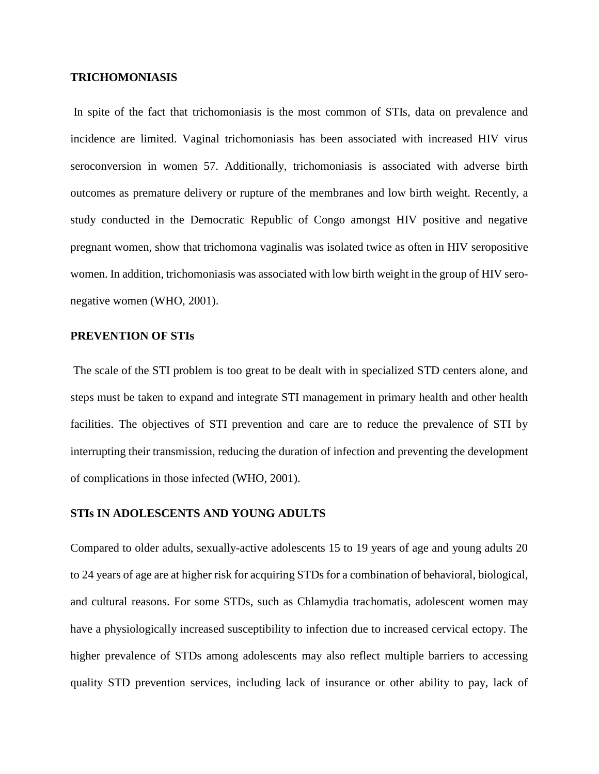#### **TRICHOMONIASIS**

In spite of the fact that trichomoniasis is the most common of STIs, data on prevalence and incidence are limited. Vaginal trichomoniasis has been associated with increased HIV virus seroconversion in women 57. Additionally, trichomoniasis is associated with adverse birth outcomes as premature delivery or rupture of the membranes and low birth weight. Recently, a study conducted in the Democratic Republic of Congo amongst HIV positive and negative pregnant women, show that trichomona vaginalis was isolated twice as often in HIV seropositive women. In addition, trichomoniasis was associated with low birth weight in the group of HIV seronegative women (WHO, 2001).

#### **PREVENTION OF STIs**

The scale of the STI problem is too great to be dealt with in specialized STD centers alone, and steps must be taken to expand and integrate STI management in primary health and other health facilities. The objectives of STI prevention and care are to reduce the prevalence of STI by interrupting their transmission, reducing the duration of infection and preventing the development of complications in those infected (WHO, 2001).

#### **STIs IN ADOLESCENTS AND YOUNG ADULTS**

Compared to older adults, sexually-active adolescents 15 to 19 years of age and young adults 20 to 24 years of age are at higher risk for acquiring STDs for a combination of behavioral, biological, and cultural reasons. For some STDs, such as Chlamydia trachomatis, adolescent women may have a physiologically increased susceptibility to infection due to increased cervical ectopy. The higher prevalence of STDs among adolescents may also reflect multiple barriers to accessing quality STD prevention services, including lack of insurance or other ability to pay, lack of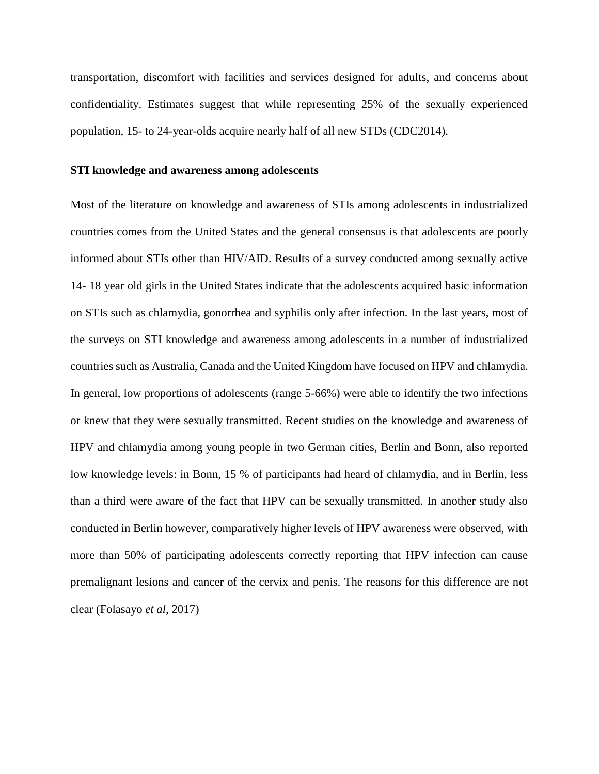transportation, discomfort with facilities and services designed for adults, and concerns about confidentiality. Estimates suggest that while representing 25% of the sexually experienced population, 15- to 24-year-olds acquire nearly half of all new STDs (CDC2014).

#### **STI knowledge and awareness among adolescents**

Most of the literature on knowledge and awareness of STIs among adolescents in industrialized countries comes from the United States and the general consensus is that adolescents are poorly informed about STIs other than HIV/AID. Results of a survey conducted among sexually active 14- 18 year old girls in the United States indicate that the adolescents acquired basic information on STIs such as chlamydia, gonorrhea and syphilis only after infection. In the last years, most of the surveys on STI knowledge and awareness among adolescents in a number of industrialized countries such as Australia, Canada and the United Kingdom have focused on HPV and chlamydia. In general, low proportions of adolescents (range 5-66%) were able to identify the two infections or knew that they were sexually transmitted. Recent studies on the knowledge and awareness of HPV and chlamydia among young people in two German cities, Berlin and Bonn, also reported low knowledge levels: in Bonn, 15 % of participants had heard of chlamydia, and in Berlin, less than a third were aware of the fact that HPV can be sexually transmitted. In another study also conducted in Berlin however, comparatively higher levels of HPV awareness were observed, with more than 50% of participating adolescents correctly reporting that HPV infection can cause premalignant lesions and cancer of the cervix and penis. The reasons for this difference are not clear (Folasayo *et al*, 2017)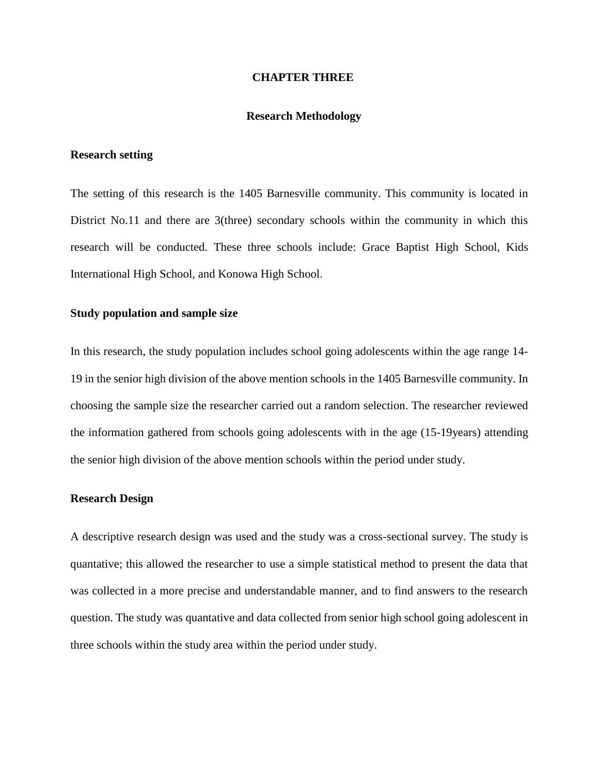#### **CHAPTER THREE**

#### **Research Methodology**

#### **Research setting**

The setting of this research is the 1405 Barnesville community. This community is located in District No.11 and there are 3(three) secondary schools within the community in which this research will be conducted. These three schools include: Grace Baptist High School, Kids International High School, and Konowa High School.

#### **Study population and sample size**

In this research, the study population includes school going adolescents within the age range 14- 19 in the senior high division of the above mention schools in the 1405 Barnesville community. In choosing the sample size the researcher carried out a random selection. The researcher reviewed the information gathered from schools going adolescents with in the age (15-19years) attending the senior high division of the above mention schools within the period under study.

#### **Research Design**

A descriptive research design was used and the study was a cross-sectional survey. The study is quantative; this allowed the researcher to use a simple statistical method to present the data that was collected in a more precise and understandable manner, and to find answers to the research question. The study was quantative and data collected from senior high school going adolescent in three schools within the study area within the period under study.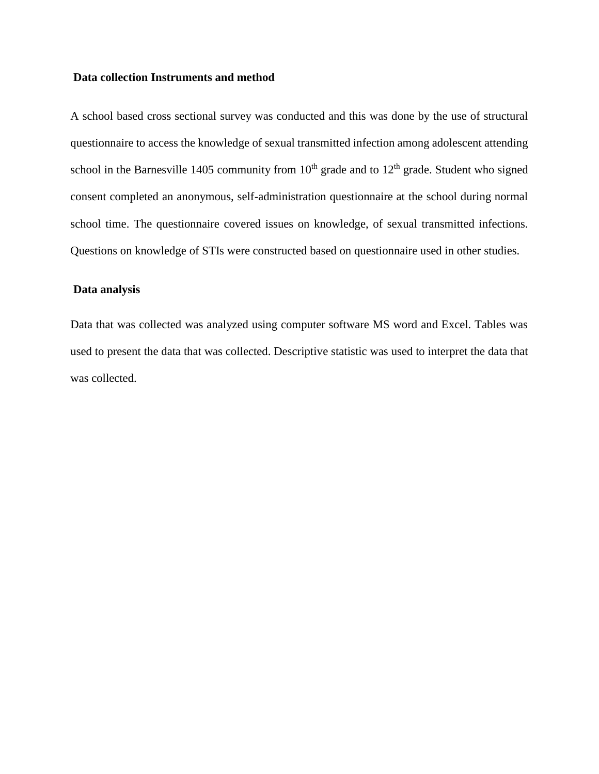#### **Data collection Instruments and method**

A school based cross sectional survey was conducted and this was done by the use of structural questionnaire to access the knowledge of sexual transmitted infection among adolescent attending school in the Barnesville 1405 community from  $10<sup>th</sup>$  grade and to  $12<sup>th</sup>$  grade. Student who signed consent completed an anonymous, self-administration questionnaire at the school during normal school time. The questionnaire covered issues on knowledge, of sexual transmitted infections. Questions on knowledge of STIs were constructed based on questionnaire used in other studies.

#### **Data analysis**

Data that was collected was analyzed using computer software MS word and Excel. Tables was used to present the data that was collected. Descriptive statistic was used to interpret the data that was collected.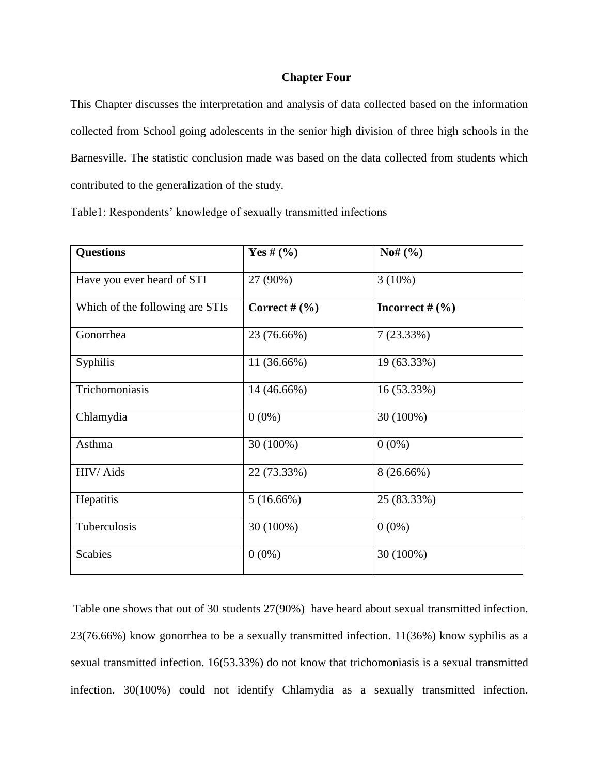#### **Chapter Four**

This Chapter discusses the interpretation and analysis of data collected based on the information collected from School going adolescents in the senior high division of three high schools in the Barnesville. The statistic conclusion made was based on the data collected from students which contributed to the generalization of the study.

| <b>Questions</b>                | Yes # $(%$      | $Nof($ %)         |
|---------------------------------|-----------------|-------------------|
| Have you ever heard of STI      | 27 (90%)        | $3(10\%)$         |
| Which of the following are STIs | Correct # $(\%$ | Incorrect $#$ (%) |
| Gonorrhea                       | 23 (76.66%)     | 7(23.33%)         |
| <b>Syphilis</b>                 | 11 (36.66%)     | 19 (63.33%)       |
| Trichomoniasis                  | 14 (46.66%)     | 16 (53.33%)       |
| Chlamydia                       | $0(0\%)$        | 30 (100%)         |
| Asthma                          | 30 (100%)       | $0(0\%)$          |
| HIV/Aids                        | 22 (73.33%)     | $8(26.66\%)$      |
| Hepatitis                       | 5(16.66%)       | 25 (83.33%)       |
| Tuberculosis                    | 30 (100%)       | $0(0\%)$          |
| <b>Scabies</b>                  | $0(0\%)$        | 30 (100%)         |

Table1: Respondents' knowledge of sexually transmitted infections

Table one shows that out of 30 students 27(90%) have heard about sexual transmitted infection. 23(76.66%) know gonorrhea to be a sexually transmitted infection. 11(36%) know syphilis as a sexual transmitted infection. 16(53.33%) do not know that trichomoniasis is a sexual transmitted infection. 30(100%) could not identify Chlamydia as a sexually transmitted infection.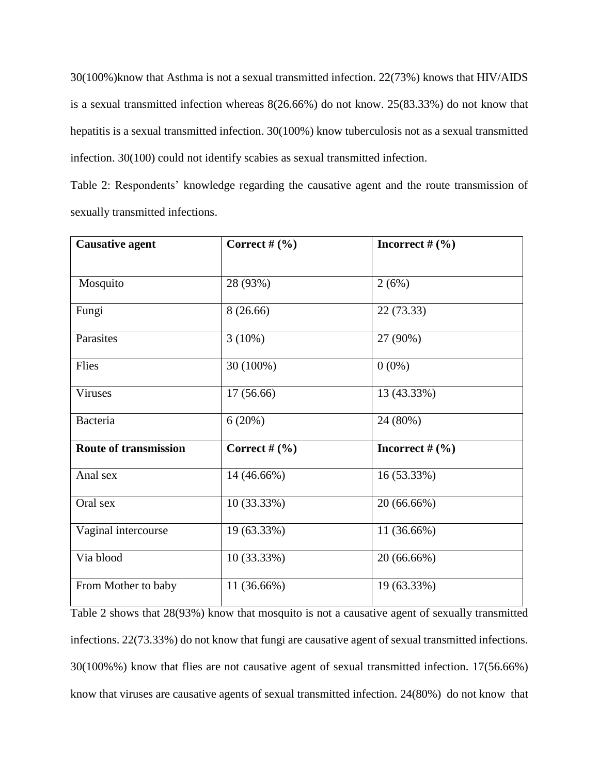30(100%)know that Asthma is not a sexual transmitted infection. 22(73%) knows that HIV/AIDS is a sexual transmitted infection whereas 8(26.66%) do not know. 25(83.33%) do not know that hepatitis is a sexual transmitted infection. 30(100%) know tuberculosis not as a sexual transmitted infection. 30(100) could not identify scabies as sexual transmitted infection.

Table 2: Respondents' knowledge regarding the causative agent and the route transmission of sexually transmitted infections.

| <b>Causative agent</b>       | Correct $#(\%)$ | Incorrect $#(\%)$ |
|------------------------------|-----------------|-------------------|
|                              |                 |                   |
| Mosquito                     | 28 (93%)        | 2(6%)             |
| Fungi                        | 8(26.66)        | 22 (73.33)        |
| Parasites                    | $3(10\%)$       | 27 (90%)          |
| Flies                        | 30 (100%)       | $0(0\%)$          |
| <b>Viruses</b>               | 17(56.66)       | 13 (43.33%)       |
| <b>Bacteria</b>              | 6(20%)          | 24 (80%)          |
| <b>Route of transmission</b> | Correct # $(\%$ | Incorrect $#(\%)$ |
| Anal sex                     | 14 (46.66%)     | 16 (53.33%)       |
| Oral sex                     | 10 (33.33%)     | 20 (66.66%)       |
| Vaginal intercourse          | 19 (63.33%)     | 11 (36.66%)       |
| Via blood                    | 10 (33.33%)     | 20 (66.66%)       |
| From Mother to baby          | 11 (36.66%)     | 19 (63.33%)       |

Table 2 shows that 28(93%) know that mosquito is not a causative agent of sexually transmitted infections. 22(73.33%) do not know that fungi are causative agent of sexual transmitted infections. 30(100%%) know that flies are not causative agent of sexual transmitted infection. 17(56.66%) know that viruses are causative agents of sexual transmitted infection. 24(80%) do not know that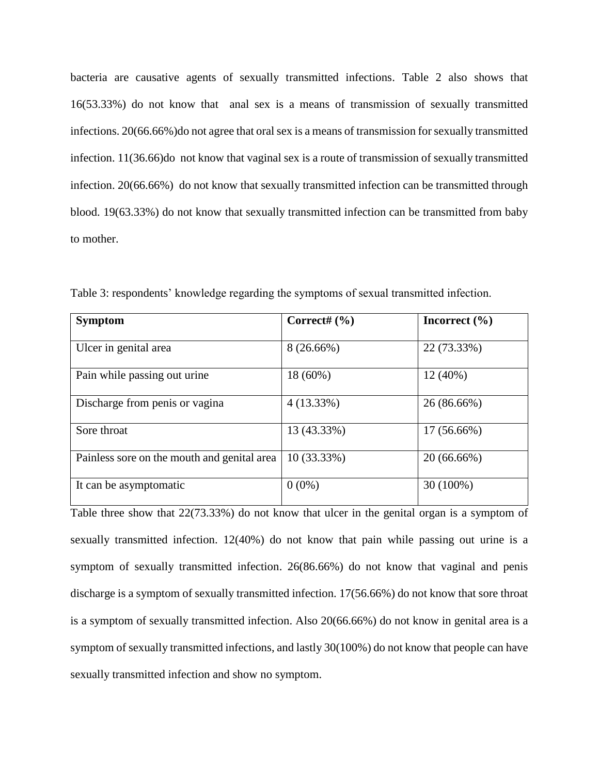bacteria are causative agents of sexually transmitted infections. Table 2 also shows that 16(53.33%) do not know that anal sex is a means of transmission of sexually transmitted infections. 20(66.66%)do not agree that oral sex is a means of transmission for sexually transmitted infection. 11(36.66)do not know that vaginal sex is a route of transmission of sexually transmitted infection. 20(66.66%) do not know that sexually transmitted infection can be transmitted through blood. 19(63.33%) do not know that sexually transmitted infection can be transmitted from baby to mother.

| <b>Symptom</b>                              | Correct# $(% )$ | Incorrect $(\% )$ |
|---------------------------------------------|-----------------|-------------------|
| Ulcer in genital area                       | $8(26.66\%)$    | 22 (73.33%)       |
| Pain while passing out urine                | 18 (60%)        | $12(40\%)$        |
| Discharge from penis or vagina              | $4(13.33\%)$    | 26 (86.66%)       |
| Sore throat                                 | 13 (43.33%)     | $17(56.66\%)$     |
| Painless sore on the mouth and genital area | 10 (33.33%)     | 20 (66.66%)       |
| It can be asymptomatic                      | $0(0\%)$        | 30 (100%)         |

Table 3: respondents' knowledge regarding the symptoms of sexual transmitted infection.

Table three show that 22(73.33%) do not know that ulcer in the genital organ is a symptom of sexually transmitted infection. 12(40%) do not know that pain while passing out urine is a symptom of sexually transmitted infection. 26(86.66%) do not know that vaginal and penis discharge is a symptom of sexually transmitted infection. 17(56.66%) do not know that sore throat is a symptom of sexually transmitted infection. Also 20(66.66%) do not know in genital area is a symptom of sexually transmitted infections, and lastly 30(100%) do not know that people can have sexually transmitted infection and show no symptom.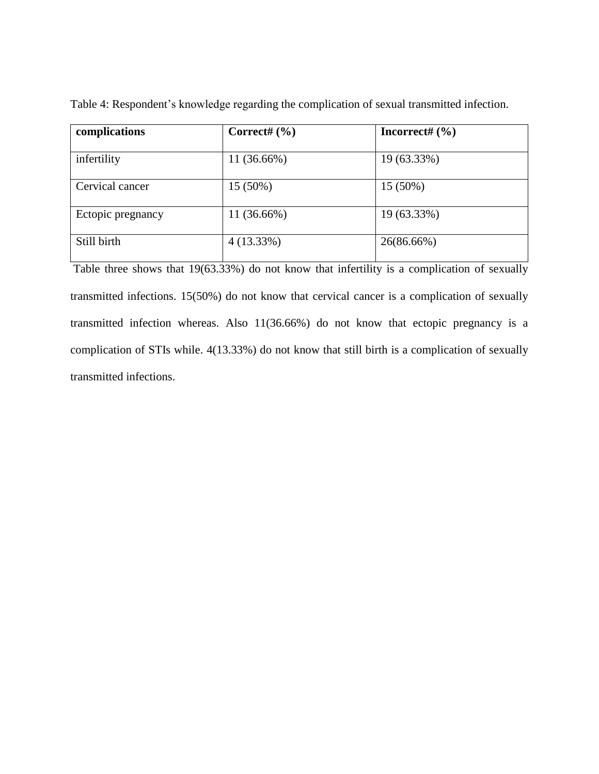| complications     | Correct# $(\% )$ | Incorrect# $(\% )$ |
|-------------------|------------------|--------------------|
| infertility       | 11 (36.66%)      | 19 (63.33%)        |
| Cervical cancer   | $15(50\%)$       | 15 (50%)           |
| Ectopic pregnancy | 11 (36.66%)      | 19 (63.33%)        |
| Still birth       | $4(13.33\%)$     | 26(86.66%)         |

Table 4: Respondent's knowledge regarding the complication of sexual transmitted infection.

Table three shows that 19(63.33%) do not know that infertility is a complication of sexually transmitted infections. 15(50%) do not know that cervical cancer is a complication of sexually transmitted infection whereas. Also 11(36.66%) do not know that ectopic pregnancy is a complication of STIs while. 4(13.33%) do not know that still birth is a complication of sexually transmitted infections.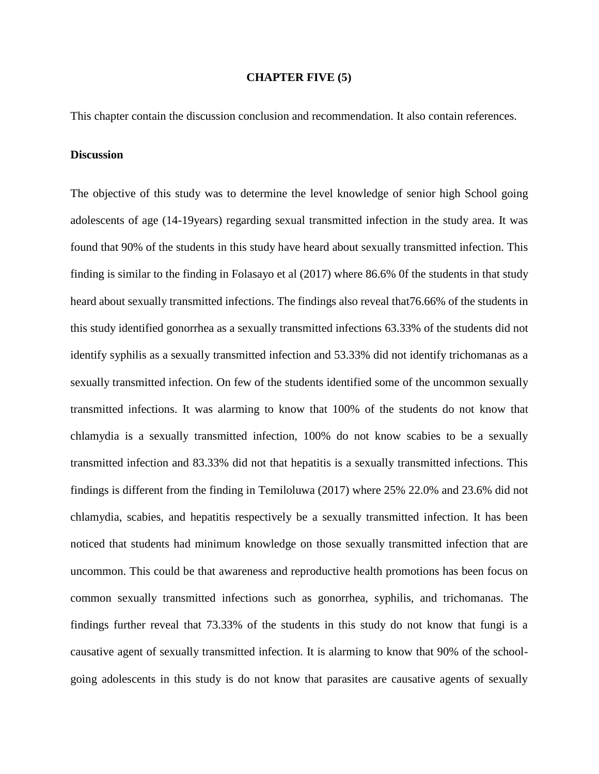#### **CHAPTER FIVE (5)**

This chapter contain the discussion conclusion and recommendation. It also contain references.

#### **Discussion**

The objective of this study was to determine the level knowledge of senior high School going adolescents of age (14-19years) regarding sexual transmitted infection in the study area. It was found that 90% of the students in this study have heard about sexually transmitted infection. This finding is similar to the finding in Folasayo et al (2017) where 86.6% 0f the students in that study heard about sexually transmitted infections. The findings also reveal that76.66% of the students in this study identified gonorrhea as a sexually transmitted infections 63.33% of the students did not identify syphilis as a sexually transmitted infection and 53.33% did not identify trichomanas as a sexually transmitted infection. On few of the students identified some of the uncommon sexually transmitted infections. It was alarming to know that 100% of the students do not know that chlamydia is a sexually transmitted infection, 100% do not know scabies to be a sexually transmitted infection and 83.33% did not that hepatitis is a sexually transmitted infections. This findings is different from the finding in Temiloluwa (2017) where 25% 22.0% and 23.6% did not chlamydia, scabies, and hepatitis respectively be a sexually transmitted infection. It has been noticed that students had minimum knowledge on those sexually transmitted infection that are uncommon. This could be that awareness and reproductive health promotions has been focus on common sexually transmitted infections such as gonorrhea, syphilis, and trichomanas. The findings further reveal that 73.33% of the students in this study do not know that fungi is a causative agent of sexually transmitted infection. It is alarming to know that 90% of the schoolgoing adolescents in this study is do not know that parasites are causative agents of sexually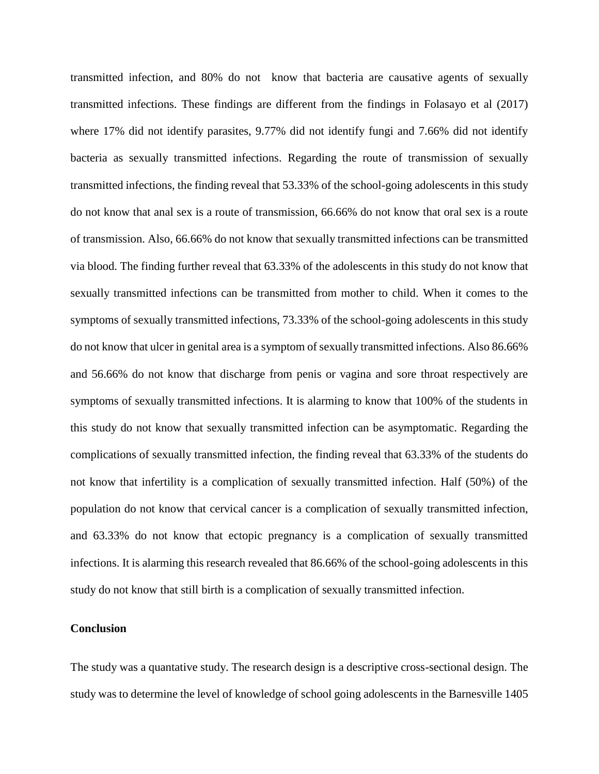transmitted infection, and 80% do not know that bacteria are causative agents of sexually transmitted infections. These findings are different from the findings in Folasayo et al (2017) where 17% did not identify parasites, 9.77% did not identify fungi and 7.66% did not identify bacteria as sexually transmitted infections. Regarding the route of transmission of sexually transmitted infections, the finding reveal that 53.33% of the school-going adolescents in this study do not know that anal sex is a route of transmission, 66.66% do not know that oral sex is a route of transmission. Also, 66.66% do not know that sexually transmitted infections can be transmitted via blood. The finding further reveal that 63.33% of the adolescents in this study do not know that sexually transmitted infections can be transmitted from mother to child. When it comes to the symptoms of sexually transmitted infections, 73.33% of the school-going adolescents in this study do not know that ulcer in genital area is a symptom of sexually transmitted infections. Also 86.66% and 56.66% do not know that discharge from penis or vagina and sore throat respectively are symptoms of sexually transmitted infections. It is alarming to know that 100% of the students in this study do not know that sexually transmitted infection can be asymptomatic. Regarding the complications of sexually transmitted infection, the finding reveal that 63.33% of the students do not know that infertility is a complication of sexually transmitted infection. Half (50%) of the population do not know that cervical cancer is a complication of sexually transmitted infection, and 63.33% do not know that ectopic pregnancy is a complication of sexually transmitted infections. It is alarming this research revealed that 86.66% of the school-going adolescents in this study do not know that still birth is a complication of sexually transmitted infection.

#### **Conclusion**

The study was a quantative study. The research design is a descriptive cross-sectional design. The study was to determine the level of knowledge of school going adolescents in the Barnesville 1405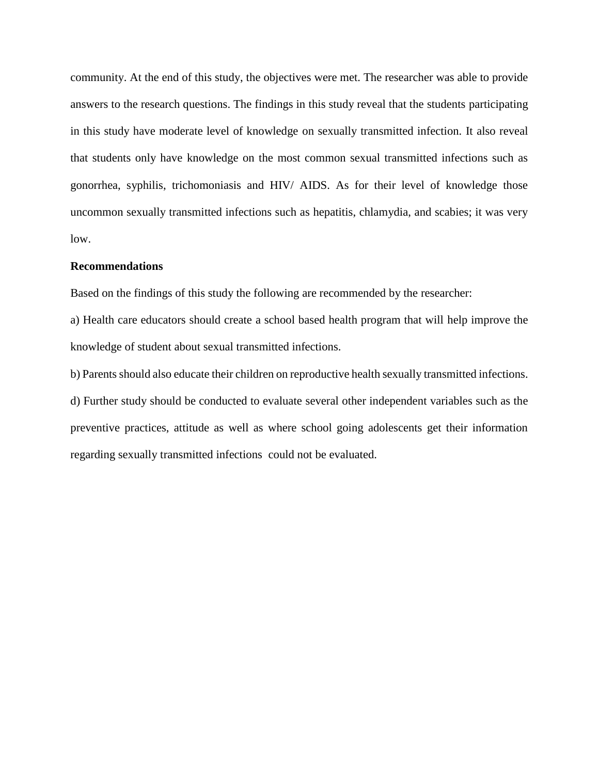community. At the end of this study, the objectives were met. The researcher was able to provide answers to the research questions. The findings in this study reveal that the students participating in this study have moderate level of knowledge on sexually transmitted infection. It also reveal that students only have knowledge on the most common sexual transmitted infections such as gonorrhea, syphilis, trichomoniasis and HIV/ AIDS. As for their level of knowledge those uncommon sexually transmitted infections such as hepatitis, chlamydia, and scabies; it was very low.

#### **Recommendations**

Based on the findings of this study the following are recommended by the researcher:

a) Health care educators should create a school based health program that will help improve the knowledge of student about sexual transmitted infections.

b) Parents should also educate their children on reproductive health sexually transmitted infections. d) Further study should be conducted to evaluate several other independent variables such as the preventive practices, attitude as well as where school going adolescents get their information regarding sexually transmitted infections could not be evaluated.